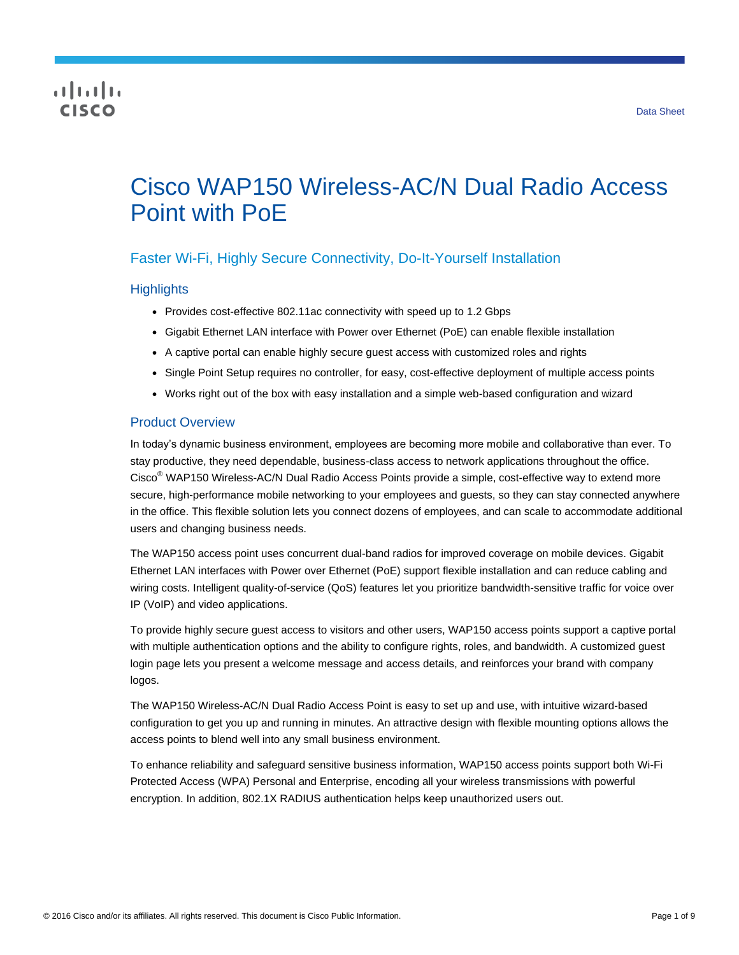## CISCO

# Cisco WAP150 Wireless-AC/N Dual Radio Access Point with PoE

## Faster Wi-Fi, Highly Secure Connectivity, Do-It-Yourself Installation

## **Highlights**

- Provides cost-effective 802.11ac connectivity with speed up to 1.2 Gbps
- Gigabit Ethernet LAN interface with Power over Ethernet (PoE) can enable flexible installation
- A captive portal can enable highly secure guest access with customized roles and rights
- Single Point Setup requires no controller, for easy, cost-effective deployment of multiple access points
- Works right out of the box with easy installation and a simple web-based configuration and wizard

## Product Overview

In today's dynamic business environment, employees are becoming more mobile and collaborative than ever. To stay productive, they need dependable, business-class access to network applications throughout the office. Cisco® WAP150 Wireless-AC/N Dual Radio Access Points provide a simple, cost-effective way to extend more secure, high-performance mobile networking to your employees and guests, so they can stay connected anywhere in the office. This flexible solution lets you connect dozens of employees, and can scale to accommodate additional users and changing business needs.

The WAP150 access point uses concurrent dual-band radios for improved coverage on mobile devices. Gigabit Ethernet LAN interfaces with Power over Ethernet (PoE) support flexible installation and can reduce cabling and wiring costs. Intelligent quality-of-service (QoS) features let you prioritize bandwidth-sensitive traffic for voice over IP (VoIP) and video applications.

To provide highly secure guest access to visitors and other users, WAP150 access points support a captive portal with multiple authentication options and the ability to configure rights, roles, and bandwidth. A customized guest login page lets you present a welcome message and access details, and reinforces your brand with company logos.

The WAP150 Wireless-AC/N Dual Radio Access Point is easy to set up and use, with intuitive wizard-based configuration to get you up and running in minutes. An attractive design with flexible mounting options allows the access points to blend well into any small business environment.

To enhance reliability and safeguard sensitive business information, WAP150 access points support both Wi-Fi Protected Access (WPA) Personal and Enterprise, encoding all your wireless transmissions with powerful encryption. In addition, 802.1X RADIUS authentication helps keep unauthorized users out.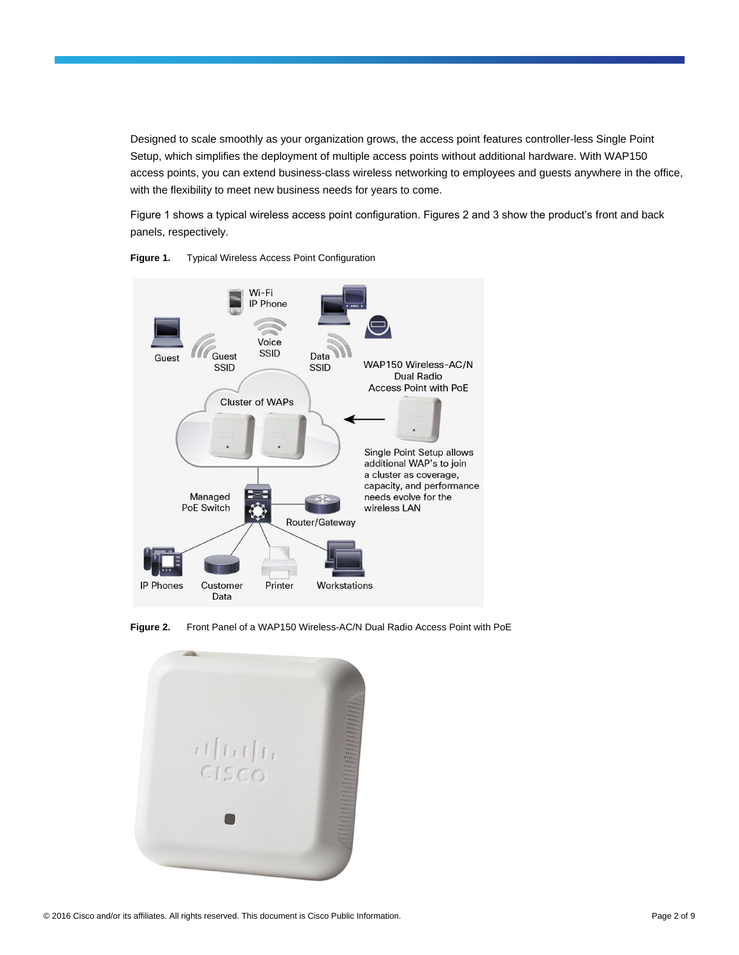Designed to scale smoothly as your organization grows, the access point features controller-less Single Point Setup, which simplifies the deployment of multiple access points without additional hardware. With WAP150 access points, you can extend business-class wireless networking to employees and guests anywhere in the office, with the flexibility to meet new business needs for years to come.

Figure 1 shows a typical wireless access point configuration. Figures 2 and 3 show the product's front and back panels, respectively.



**Figure 1.** Typical Wireless Access Point Configuration

**Figure 2.** Front Panel of a WAP150 Wireless-AC/N Dual Radio Access Point with PoE

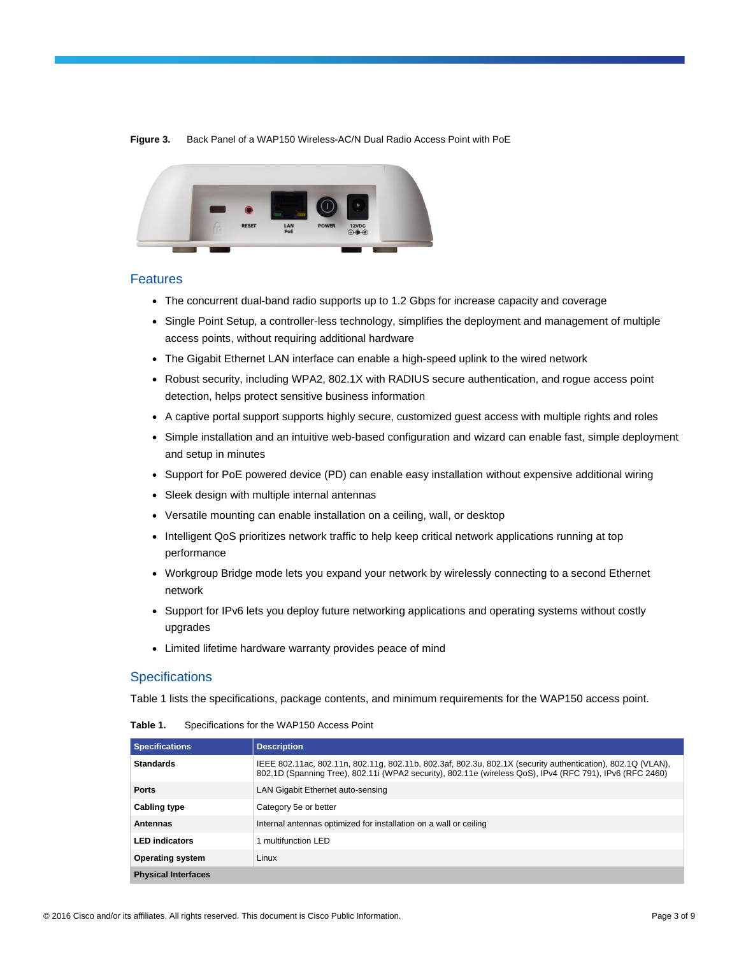



#### Features

- The concurrent dual-band radio supports up to 1.2 Gbps for increase capacity and coverage
- Single Point Setup, a controller-less technology, simplifies the deployment and management of multiple access points, without requiring additional hardware
- The Gigabit Ethernet LAN interface can enable a high-speed uplink to the wired network
- Robust security, including WPA2, 802.1X with RADIUS secure authentication, and rogue access point detection, helps protect sensitive business information
- A captive portal support supports highly secure, customized guest access with multiple rights and roles
- Simple installation and an intuitive web-based configuration and wizard can enable fast, simple deployment and setup in minutes
- Support for PoE powered device (PD) can enable easy installation without expensive additional wiring
- Sleek design with multiple internal antennas
- Versatile mounting can enable installation on a ceiling, wall, or desktop
- Intelligent QoS prioritizes network traffic to help keep critical network applications running at top performance
- Workgroup Bridge mode lets you expand your network by wirelessly connecting to a second Ethernet network
- Support for IPv6 lets you deploy future networking applications and operating systems without costly upgrades
- Limited lifetime hardware warranty provides peace of mind

## **Specifications**

Table 1 lists the specifications, package contents, and minimum requirements for the WAP150 access point.

| <b>Specifications</b>      | <b>Description</b>                                                                                                                                                                                                      |
|----------------------------|-------------------------------------------------------------------------------------------------------------------------------------------------------------------------------------------------------------------------|
| <b>Standards</b>           | IEEE 802.11ac, 802.11n, 802.11g, 802.11b, 802.3af, 802.3u, 802.1X (security authentication), 802.1Q (VLAN),<br>802.1D (Spanning Tree), 802.11i (WPA2 security), 802.11e (wireless QoS), IPv4 (RFC 791), IPv6 (RFC 2460) |
| <b>Ports</b>               | LAN Gigabit Ethernet auto-sensing                                                                                                                                                                                       |
| <b>Cabling type</b>        | Category 5e or better                                                                                                                                                                                                   |
| <b>Antennas</b>            | Internal antennas optimized for installation on a wall or ceiling                                                                                                                                                       |
| <b>LED</b> indicators      | 1 multifunction LED                                                                                                                                                                                                     |
| <b>Operating system</b>    | Linux                                                                                                                                                                                                                   |
| <b>Physical Interfaces</b> |                                                                                                                                                                                                                         |

**Table 1.** Specifications for the WAP150 Access Point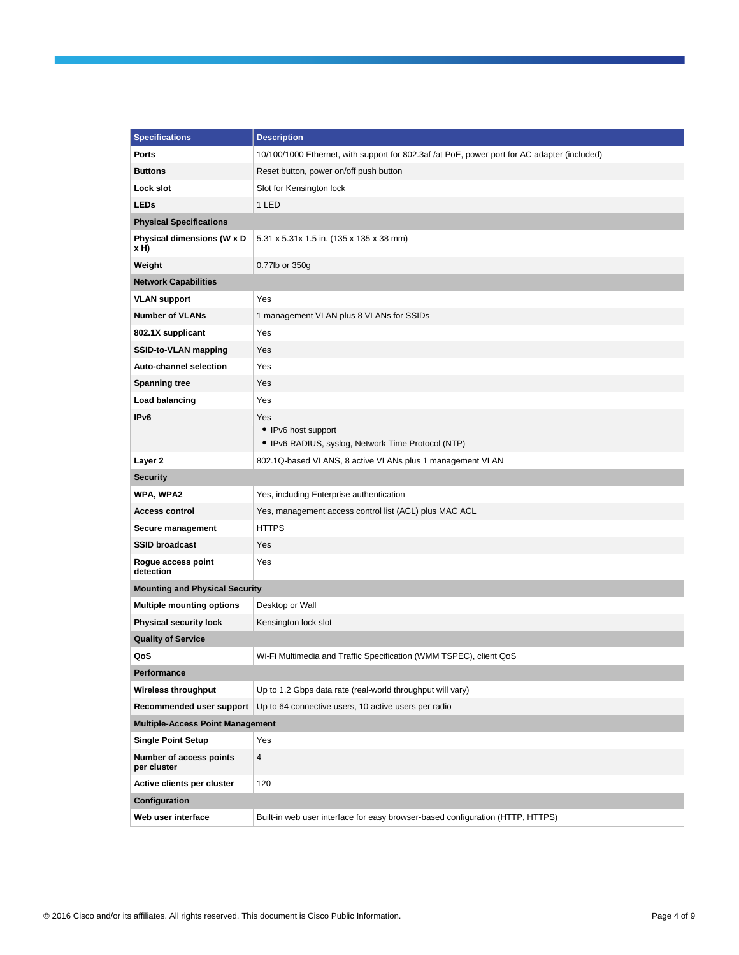| <b>Specifications</b>                   | <b>Description</b>                                                                           |  |
|-----------------------------------------|----------------------------------------------------------------------------------------------|--|
| <b>Ports</b>                            | 10/100/1000 Ethernet, with support for 802.3af /at PoE, power port for AC adapter (included) |  |
| <b>Buttons</b>                          | Reset button, power on/off push button                                                       |  |
| Lock slot                               | Slot for Kensington lock                                                                     |  |
| <b>LEDs</b>                             | 1 LED                                                                                        |  |
| <b>Physical Specifications</b>          |                                                                                              |  |
| Physical dimensions (W x D<br>xH)       | 5.31 x 5.31x 1.5 in. (135 x 135 x 38 mm)                                                     |  |
| Weight                                  | 0.77lb or 350g                                                                               |  |
| <b>Network Capabilities</b>             |                                                                                              |  |
| <b>VLAN support</b>                     | Yes                                                                                          |  |
| <b>Number of VLANs</b>                  | 1 management VLAN plus 8 VLANs for SSIDs                                                     |  |
| 802.1X supplicant                       | Yes                                                                                          |  |
| SSID-to-VLAN mapping                    | Yes                                                                                          |  |
| <b>Auto-channel selection</b>           | Yes                                                                                          |  |
| <b>Spanning tree</b>                    | Yes                                                                                          |  |
| Load balancing                          | Yes                                                                                          |  |
| IP <sub>v6</sub>                        | Yes<br>• IPv6 host support<br>• IPv6 RADIUS, syslog, Network Time Protocol (NTP)             |  |
| Layer 2                                 | 802.1Q-based VLANS, 8 active VLANs plus 1 management VLAN                                    |  |
| <b>Security</b>                         |                                                                                              |  |
| WPA, WPA2                               | Yes, including Enterprise authentication                                                     |  |
| <b>Access control</b>                   | Yes, management access control list (ACL) plus MAC ACL                                       |  |
| Secure management                       | <b>HTTPS</b>                                                                                 |  |
| <b>SSID broadcast</b>                   | Yes                                                                                          |  |
| Rogue access point<br>detection         | Yes                                                                                          |  |
| <b>Mounting and Physical Security</b>   |                                                                                              |  |
| <b>Multiple mounting options</b>        | Desktop or Wall                                                                              |  |
| <b>Physical security lock</b>           | Kensington lock slot                                                                         |  |
| <b>Quality of Service</b>               |                                                                                              |  |
| QoS                                     | Wi-Fi Multimedia and Traffic Specification (WMM TSPEC), client QoS                           |  |
| Performance                             |                                                                                              |  |
| <b>Wireless throughput</b>              | Up to 1.2 Gbps data rate (real-world throughput will vary)                                   |  |
| Recommended user support                | Up to 64 connective users, 10 active users per radio                                         |  |
| <b>Multiple-Access Point Management</b> |                                                                                              |  |
| <b>Single Point Setup</b>               | Yes                                                                                          |  |
| Number of access points<br>per cluster  | 4                                                                                            |  |
| Active clients per cluster              | 120                                                                                          |  |
| Configuration                           |                                                                                              |  |
| Web user interface                      | Built-in web user interface for easy browser-based configuration (HTTP, HTTPS)               |  |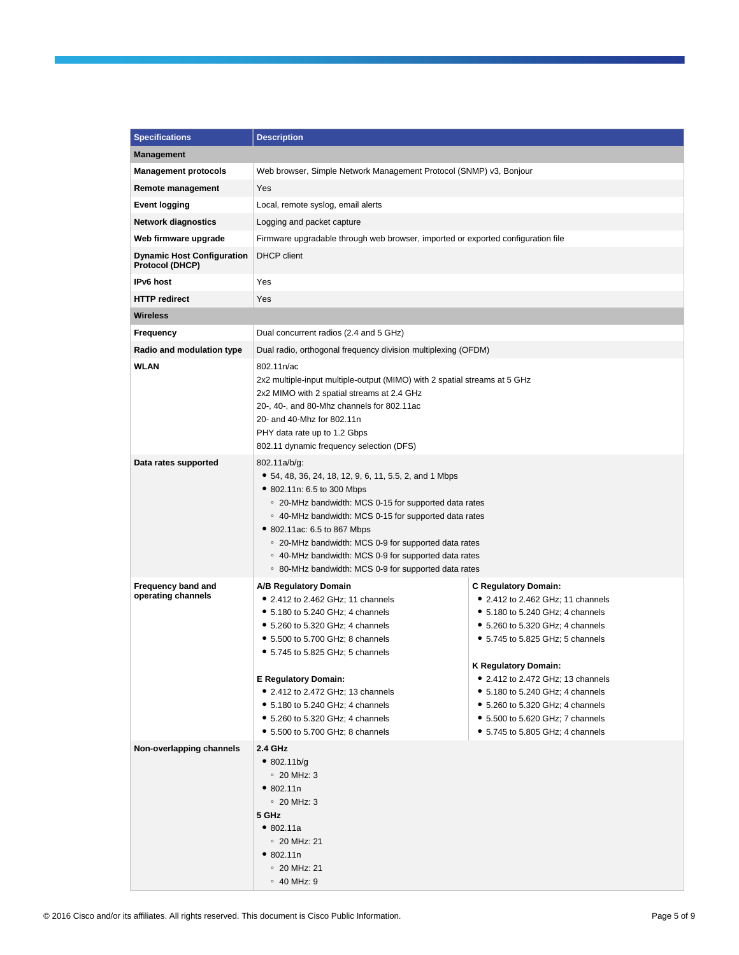| <b>Specifications</b>                                | <b>Description</b>                                                                                                                                                                                                                                                                                                                                                                                                            |                                                                                                                                                                                                                                                                                                                                                                                                          |
|------------------------------------------------------|-------------------------------------------------------------------------------------------------------------------------------------------------------------------------------------------------------------------------------------------------------------------------------------------------------------------------------------------------------------------------------------------------------------------------------|----------------------------------------------------------------------------------------------------------------------------------------------------------------------------------------------------------------------------------------------------------------------------------------------------------------------------------------------------------------------------------------------------------|
| <b>Management</b>                                    |                                                                                                                                                                                                                                                                                                                                                                                                                               |                                                                                                                                                                                                                                                                                                                                                                                                          |
| <b>Management protocols</b>                          | Web browser, Simple Network Management Protocol (SNMP) v3, Bonjour                                                                                                                                                                                                                                                                                                                                                            |                                                                                                                                                                                                                                                                                                                                                                                                          |
| Remote management                                    | Yes                                                                                                                                                                                                                                                                                                                                                                                                                           |                                                                                                                                                                                                                                                                                                                                                                                                          |
| <b>Event logging</b>                                 | Local, remote syslog, email alerts                                                                                                                                                                                                                                                                                                                                                                                            |                                                                                                                                                                                                                                                                                                                                                                                                          |
| <b>Network diagnostics</b>                           | Logging and packet capture                                                                                                                                                                                                                                                                                                                                                                                                    |                                                                                                                                                                                                                                                                                                                                                                                                          |
| Web firmware upgrade                                 | Firmware upgradable through web browser, imported or exported configuration file                                                                                                                                                                                                                                                                                                                                              |                                                                                                                                                                                                                                                                                                                                                                                                          |
| <b>Dynamic Host Configuration</b><br>Protocol (DHCP) | <b>DHCP</b> client                                                                                                                                                                                                                                                                                                                                                                                                            |                                                                                                                                                                                                                                                                                                                                                                                                          |
| IPv6 host                                            | Yes                                                                                                                                                                                                                                                                                                                                                                                                                           |                                                                                                                                                                                                                                                                                                                                                                                                          |
| <b>HTTP redirect</b>                                 | Yes                                                                                                                                                                                                                                                                                                                                                                                                                           |                                                                                                                                                                                                                                                                                                                                                                                                          |
| Wireless                                             |                                                                                                                                                                                                                                                                                                                                                                                                                               |                                                                                                                                                                                                                                                                                                                                                                                                          |
| Frequency                                            | Dual concurrent radios (2.4 and 5 GHz)                                                                                                                                                                                                                                                                                                                                                                                        |                                                                                                                                                                                                                                                                                                                                                                                                          |
| Radio and modulation type                            | Dual radio, orthogonal frequency division multiplexing (OFDM)                                                                                                                                                                                                                                                                                                                                                                 |                                                                                                                                                                                                                                                                                                                                                                                                          |
| <b>WLAN</b>                                          | 802.11n/ac<br>2x2 multiple-input multiple-output (MIMO) with 2 spatial streams at 5 GHz<br>2x2 MIMO with 2 spatial streams at 2.4 GHz<br>20-, 40-, and 80-Mhz channels for 802.11ac<br>20- and 40-Mhz for 802.11n<br>PHY data rate up to 1.2 Gbps<br>802.11 dynamic frequency selection (DFS)                                                                                                                                 |                                                                                                                                                                                                                                                                                                                                                                                                          |
| Data rates supported                                 | 802.11a/b/g:<br>• 54, 48, 36, 24, 18, 12, 9, 6, 11, 5.5, 2, and 1 Mbps<br>● 802.11n: 6.5 to 300 Mbps<br>• 20-MHz bandwidth: MCS 0-15 for supported data rates<br>○ 40-MHz bandwidth: MCS 0-15 for supported data rates<br>• 802.11ac: 6.5 to 867 Mbps<br>• 20-MHz bandwidth: MCS 0-9 for supported data rates<br>○ 40-MHz bandwidth: MCS 0-9 for supported data rates<br>○ 80-MHz bandwidth: MCS 0-9 for supported data rates |                                                                                                                                                                                                                                                                                                                                                                                                          |
| Frequency band and<br>operating channels             | A/B Regulatory Domain<br>• 2.412 to 2.462 GHz; 11 channels<br>• 5.180 to 5.240 GHz; 4 channels<br>• 5.260 to 5.320 GHz; 4 channels<br>• 5.500 to 5.700 GHz; 8 channels<br>• 5.745 to 5.825 GHz; 5 channels<br><b>E Regulatory Domain:</b><br>• 2.412 to 2.472 GHz; 13 channels<br>• 5.180 to 5.240 GHz; 4 channels<br>$\bullet$ 5.260 to 5.320 GHz; 4 channels<br>• 5.500 to 5.700 GHz; 8 channels                            | <b>C Regulatory Domain:</b><br>• 2.412 to 2.462 GHz; 11 channels<br>• 5.180 to 5.240 GHz; 4 channels<br>• 5.260 to 5.320 GHz: 4 channels<br>• 5.745 to 5.825 GHz; 5 channels<br><b>K Regulatory Domain:</b><br>• 2.412 to 2.472 GHz; 13 channels<br>$\bullet$ 5.180 to 5.240 GHz; 4 channels<br>• 5.260 to 5.320 GHz; 4 channels<br>• 5.500 to 5.620 GHz; 7 channels<br>• 5.745 to 5.805 GHz; 4 channels |
| Non-overlapping channels                             | 2.4 GHz<br>• 802.11b/g<br>$\degree$ 20 MHz: 3<br>• 802.11n<br>$\degree$ 20 MHz: 3<br>5 GHz<br>• 802.11a<br>$\degree$ 20 MHz: 21<br>• 802.11n<br>$\degree$ 20 MHz: 21<br>$\circ$ 40 MHz: 9                                                                                                                                                                                                                                     |                                                                                                                                                                                                                                                                                                                                                                                                          |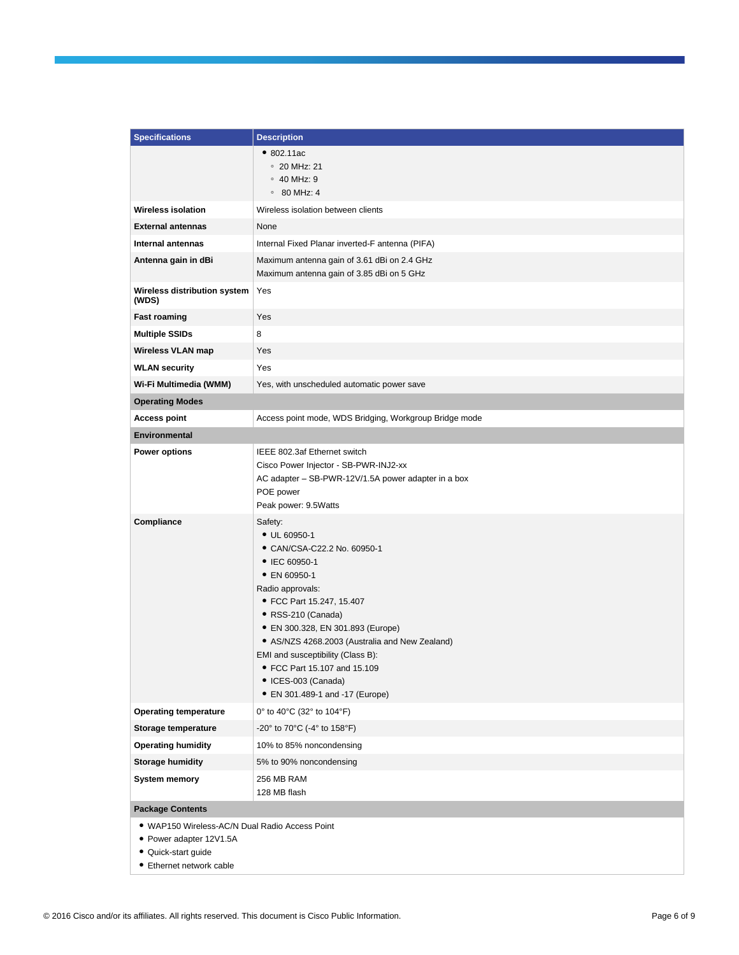| <b>Specifications</b>                          | <b>Description</b>                                                                       |
|------------------------------------------------|------------------------------------------------------------------------------------------|
|                                                | •802.11ac                                                                                |
|                                                | $\degree$ 20 MHz: 21                                                                     |
|                                                | $\circ$ 40 MHz: 9                                                                        |
|                                                | $\circ$ 80 MHz: 4                                                                        |
| <b>Wireless isolation</b>                      | Wireless isolation between clients                                                       |
| <b>External antennas</b>                       | None                                                                                     |
| Internal antennas                              | Internal Fixed Planar inverted-F antenna (PIFA)                                          |
| Antenna gain in dBi                            | Maximum antenna gain of 3.61 dBi on 2.4 GHz<br>Maximum antenna gain of 3.85 dBi on 5 GHz |
| Wireless distribution system<br>(WDS)          | Yes                                                                                      |
| <b>Fast roaming</b>                            | Yes                                                                                      |
| <b>Multiple SSIDs</b>                          | 8                                                                                        |
| Wireless VLAN map                              | Yes                                                                                      |
| <b>WLAN security</b>                           | Yes                                                                                      |
| Wi-Fi Multimedia (WMM)                         | Yes, with unscheduled automatic power save                                               |
| <b>Operating Modes</b>                         |                                                                                          |
| <b>Access point</b>                            | Access point mode, WDS Bridging, Workgroup Bridge mode                                   |
| Environmental                                  |                                                                                          |
| <b>Power options</b>                           | IEEE 802.3af Ethernet switch                                                             |
|                                                | Cisco Power Injector - SB-PWR-INJ2-xx                                                    |
|                                                | AC adapter - SB-PWR-12V/1.5A power adapter in a box                                      |
|                                                | POE power<br>Peak power: 9.5Watts                                                        |
| Compliance                                     | Safety:                                                                                  |
|                                                | • UL 60950-1                                                                             |
|                                                | • CAN/CSA-C22.2 No. 60950-1                                                              |
|                                                | • IEC 60950-1                                                                            |
|                                                | • EN 60950-1                                                                             |
|                                                | Radio approvals:<br>• FCC Part 15.247, 15.407                                            |
|                                                | · RSS-210 (Canada)                                                                       |
|                                                | • EN 300.328, EN 301.893 (Europe)                                                        |
|                                                | • AS/NZS 4268.2003 (Australia and New Zealand)                                           |
|                                                | EMI and susceptibility (Class B):                                                        |
|                                                | • FCC Part 15.107 and 15.109<br>• ICES-003 (Canada)                                      |
|                                                | • EN 301.489-1 and -17 (Europe)                                                          |
| <b>Operating temperature</b>                   | 0° to 40°C (32° to 104°F)                                                                |
| Storage temperature                            | -20° to 70°C (-4° to 158°F)                                                              |
| <b>Operating humidity</b>                      | 10% to 85% noncondensing                                                                 |
| <b>Storage humidity</b>                        | 5% to 90% noncondensing                                                                  |
| System memory                                  | 256 MB RAM                                                                               |
|                                                | 128 MB flash                                                                             |
| <b>Package Contents</b>                        |                                                                                          |
| · WAP150 Wireless-AC/N Dual Radio Access Point |                                                                                          |
| • Power adapter 12V1.5A                        |                                                                                          |

- Quick-start guide
- Ethernet network cable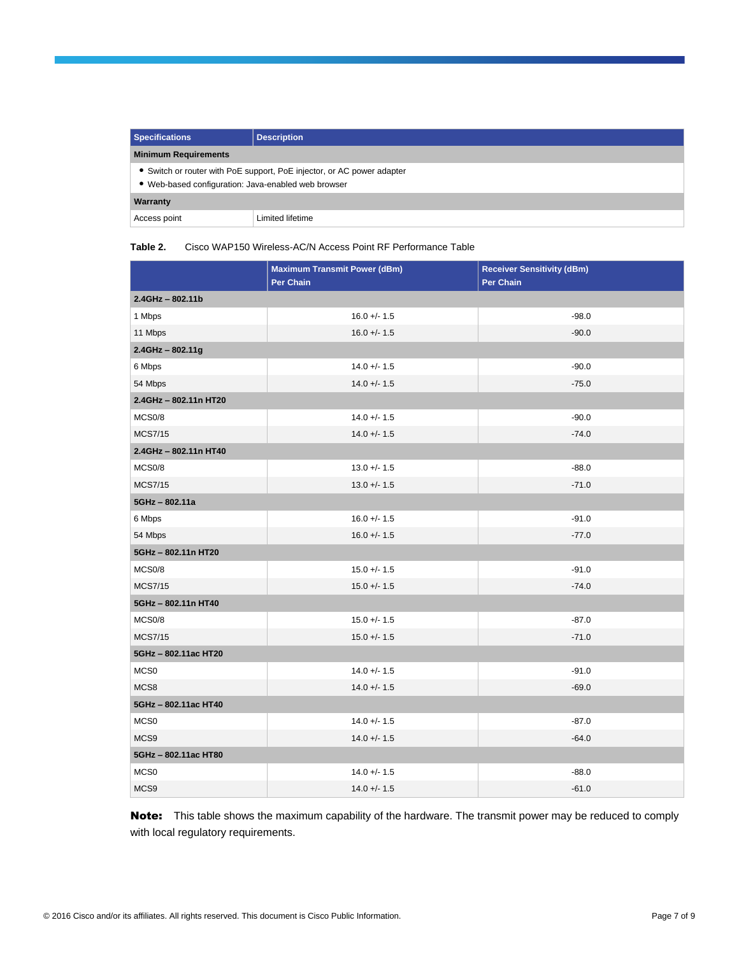| <b>Specifications</b>                                                                                                         | <b>Description</b> |
|-------------------------------------------------------------------------------------------------------------------------------|--------------------|
| <b>Minimum Requirements</b>                                                                                                   |                    |
| • Switch or router with PoE support, PoE injector, or AC power adapter<br>• Web-based configuration: Java-enabled web browser |                    |
| Warranty                                                                                                                      |                    |
| Access point                                                                                                                  | Limited lifetime   |

#### **Table 2.** Cisco WAP150 Wireless-AC/N Access Point RF Performance Table

|                       | <b>Maximum Transmit Power (dBm)</b><br>Per Chain | <b>Receiver Sensitivity (dBm)</b><br>Per Chain |
|-----------------------|--------------------------------------------------|------------------------------------------------|
| $2.4$ GHz - 802.11b   |                                                  |                                                |
| 1 Mbps                | $16.0 +/- 1.5$                                   | $-98.0$                                        |
| 11 Mbps               | $16.0 +/- 1.5$                                   | $-90.0$                                        |
| 2.4GHz-802.11g        |                                                  |                                                |
| 6 Mbps                | $14.0 + - 1.5$                                   | $-90.0$                                        |
| 54 Mbps               | $14.0 + - 1.5$                                   | $-75.0$                                        |
| 2.4GHz - 802.11n HT20 |                                                  |                                                |
| MCS0/8                | $14.0 + - 1.5$                                   | $-90.0$                                        |
| <b>MCS7/15</b>        | $14.0 +/- 1.5$                                   | $-74.0$                                        |
| 2.4GHz - 802.11n HT40 |                                                  |                                                |
| MCS0/8                | $13.0 +/- 1.5$                                   | $-88.0$                                        |
| <b>MCS7/15</b>        | $13.0 +/- 1.5$                                   | $-71.0$                                        |
| 5GHz-802.11a          |                                                  |                                                |
| 6 Mbps                | $16.0 +/- 1.5$                                   | $-91.0$                                        |
| 54 Mbps               | $16.0 +/- 1.5$                                   | $-77.0$                                        |
| 5GHz - 802.11n HT20   |                                                  |                                                |
| MCS0/8                | $15.0 + - 1.5$                                   | $-91.0$                                        |
| <b>MCS7/15</b>        | $15.0 +/- 1.5$                                   | $-74.0$                                        |
| 5GHz - 802.11n HT40   |                                                  |                                                |
| MCS0/8                | $15.0 +/- 1.5$                                   | $-87.0$                                        |
| <b>MCS7/15</b>        | $15.0 + - 1.5$                                   | $-71.0$                                        |
| 5GHz - 802.11ac HT20  |                                                  |                                                |
| MCS <sub>0</sub>      | $14.0 + - 1.5$                                   | $-91.0$                                        |
| MCS8                  | $14.0 + - 1.5$                                   | $-69.0$                                        |
| 5GHz - 802.11ac HT40  |                                                  |                                                |
| MCS0                  | $14.0 + - 1.5$                                   | $-87.0$                                        |
| MCS9                  | $14.0 + - 1.5$                                   | $-64.0$                                        |
| 5GHz-802.11ac HT80    |                                                  |                                                |
| MCS0                  | $14.0 + - 1.5$                                   | $-88.0$                                        |
| MCS9                  | $14.0 +/- 1.5$                                   | $-61.0$                                        |

Note: This table shows the maximum capability of the hardware. The transmit power may be reduced to comply with local regulatory requirements.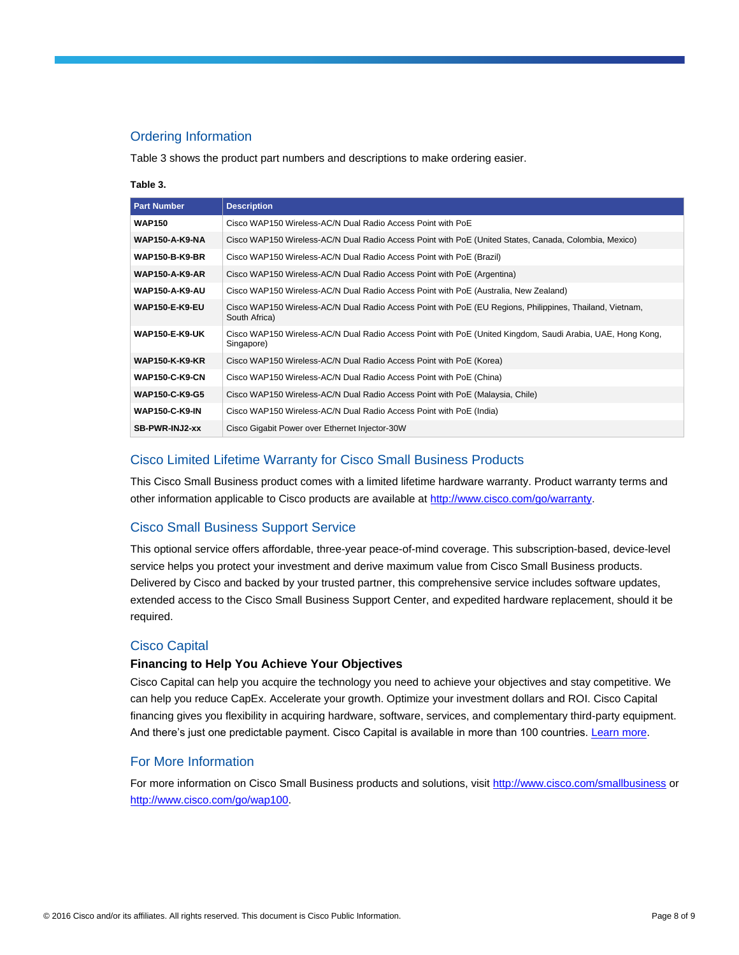## Ordering Information

Table 3 shows the product part numbers and descriptions to make ordering easier.

#### **Table 3.**

| <b>Part Number</b>    | <b>Description</b>                                                                                                        |
|-----------------------|---------------------------------------------------------------------------------------------------------------------------|
| <b>WAP150</b>         | Cisco WAP150 Wireless-AC/N Dual Radio Access Point with PoE                                                               |
| <b>WAP150-A-K9-NA</b> | Cisco WAP150 Wireless-AC/N Dual Radio Access Point with PoE (United States, Canada, Colombia, Mexico)                     |
| <b>WAP150-B-K9-BR</b> | Cisco WAP150 Wireless-AC/N Dual Radio Access Point with PoE (Brazil)                                                      |
| <b>WAP150-A-K9-AR</b> | Cisco WAP150 Wireless-AC/N Dual Radio Access Point with PoE (Argentina)                                                   |
| <b>WAP150-A-K9-AU</b> | Cisco WAP150 Wireless-AC/N Dual Radio Access Point with PoE (Australia, New Zealand)                                      |
| <b>WAP150-E-K9-EU</b> | Cisco WAP150 Wireless-AC/N Dual Radio Access Point with PoE (EU Regions, Philippines, Thailand, Vietnam,<br>South Africa) |
| <b>WAP150-E-K9-UK</b> | Cisco WAP150 Wireless-AC/N Dual Radio Access Point with PoE (United Kingdom, Saudi Arabia, UAE, Hong Kong,<br>Singapore)  |
| <b>WAP150-K-K9-KR</b> | Cisco WAP150 Wireless-AC/N Dual Radio Access Point with PoE (Korea)                                                       |
| <b>WAP150-C-K9-CN</b> | Cisco WAP150 Wireless-AC/N Dual Radio Access Point with PoE (China)                                                       |
| <b>WAP150-C-K9-G5</b> | Cisco WAP150 Wireless-AC/N Dual Radio Access Point with PoE (Malaysia, Chile)                                             |
| <b>WAP150-C-K9-IN</b> | Cisco WAP150 Wireless-AC/N Dual Radio Access Point with PoE (India)                                                       |
| SB-PWR-INJ2-xx        | Cisco Gigabit Power over Ethernet Injector-30W                                                                            |

## Cisco Limited Lifetime Warranty for Cisco Small Business Products

This Cisco Small Business product comes with a limited lifetime hardware warranty. Product warranty terms and other information applicable to Cisco products are available a[t http://www.cisco.com/go/warranty.](http://www.cisco.com/go/warranty)

## Cisco Small Business Support Service

This optional service offers affordable, three-year peace-of-mind coverage. This subscription-based, device-level service helps you protect your investment and derive maximum value from Cisco Small Business products. Delivered by Cisco and backed by your trusted partner, this comprehensive service includes software updates, extended access to the Cisco Small Business Support Center, and expedited hardware replacement, should it be required.

## Cisco Capital

## **Financing to Help You Achieve Your Objectives**

Cisco Capital can help you acquire the technology you need to achieve your objectives and stay competitive. We can help you reduce CapEx. Accelerate your growth. Optimize your investment dollars and ROI. Cisco Capital financing gives you flexibility in acquiring hardware, software, services, and complementary third-party equipment. And there's just one predictable payment. Cisco Capital is available in more than 100 countries. [Learn more.](http://www.cisco.com/web/ciscocapital/americas/us/index.html)

## For More Information

For more information on Cisco Small Business products and solutions, visit<http://www.cisco.com/smallbusiness> or [http://www.cisco.com/go/wap100.](http://www.cisco.com/go/wap100)